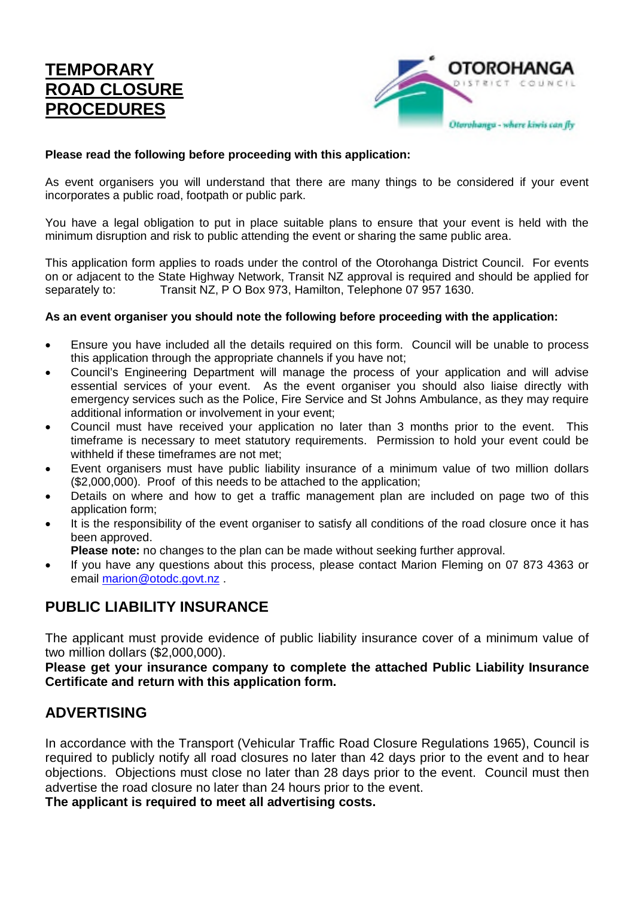## **TEMPORARY ROAD CLOSURE PROCEDURES**



#### **Please read the following before proceeding with this application:**

As event organisers you will understand that there are many things to be considered if your event incorporates a public road, footpath or public park.

You have a legal obligation to put in place suitable plans to ensure that your event is held with the minimum disruption and risk to public attending the event or sharing the same public area.

This application form applies to roads under the control of the Otorohanga District Council. For events on or adjacent to the State Highway Network, Transit NZ approval is required and should be applied for separately to: Transit NZ, P O Box 973, Hamilton, Telephone 07 957 1630.

#### **As an event organiser you should note the following before proceeding with the application:**

- Ensure you have included all the details required on this form. Council will be unable to process this application through the appropriate channels if you have not;
- Council's Engineering Department will manage the process of your application and will advise essential services of your event. As the event organiser you should also liaise directly with emergency services such as the Police, Fire Service and St Johns Ambulance, as they may require additional information or involvement in your event;
- Council must have received your application no later than 3 months prior to the event. This timeframe is necessary to meet statutory requirements. Permission to hold your event could be withheld if these timeframes are not met;
- Event organisers must have public liability insurance of a minimum value of two million dollars (\$2,000,000). Proof of this needs to be attached to the application;
- Details on where and how to get a traffic management plan are included on page two of this application form;
- It is the responsibility of the event organiser to satisfy all conditions of the road closure once it has been approved.

**Please note:** no changes to the plan can be made without seeking further approval.

 If you have any questions about this process, please contact Marion Fleming on 07 873 4363 or email marion@otodc.govt.nz .

## **PUBLIC LIABILITY INSURANCE**

The applicant must provide evidence of public liability insurance cover of a minimum value of two million dollars (\$2,000,000).

**Please get your insurance company to complete the attached Public Liability Insurance Certificate and return with this application form.**

#### **ADVERTISING**

In accordance with the Transport (Vehicular Traffic Road Closure Regulations 1965), Council is required to publicly notify all road closures no later than 42 days prior to the event and to hear objections. Objections must close no later than 28 days prior to the event. Council must then advertise the road closure no later than 24 hours prior to the event.

**The applicant is required to meet all advertising costs.**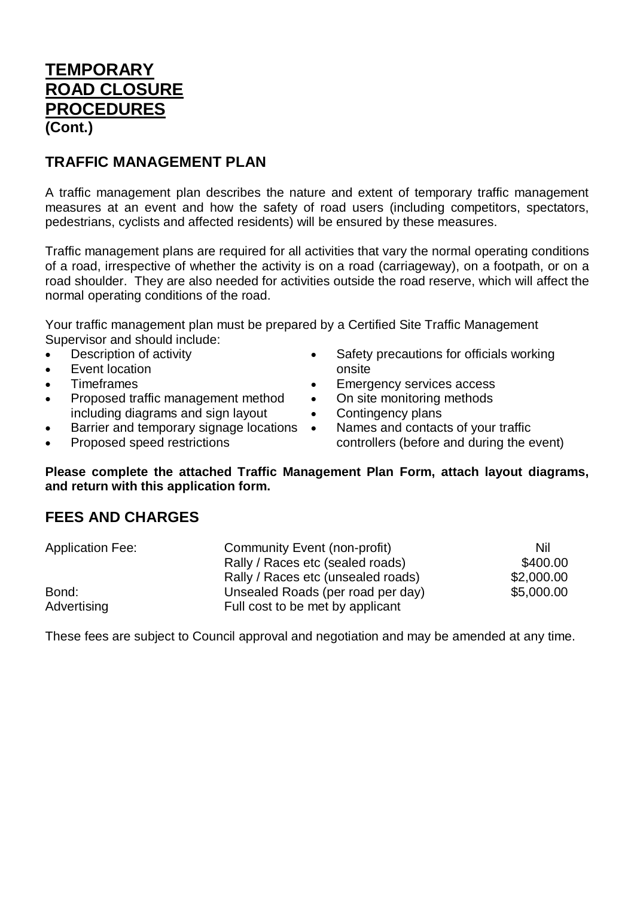## **TEMPORARY ROAD CLOSURE PROCEDURES (Cont.)**

#### **TRAFFIC MANAGEMENT PLAN**

A traffic management plan describes the nature and extent of temporary traffic management measures at an event and how the safety of road users (including competitors, spectators, pedestrians, cyclists and affected residents) will be ensured by these measures.

Traffic management plans are required for all activities that vary the normal operating conditions of a road, irrespective of whether the activity is on a road (carriageway), on a footpath, or on a road shoulder. They are also needed for activities outside the road reserve, which will affect the normal operating conditions of the road.

Your traffic management plan must be prepared by a Certified Site Traffic Management Supervisor and should include:

- Description of activity
- Event location
- Timeframes
- Proposed traffic management method including diagrams and sign layout
- Barrier and temporary signage locations •
- Proposed speed restrictions
- Safety precautions for officials working onsite
- **Emergency services access**
- On site monitoring methods
- Contingency plans
	- Names and contacts of your traffic controllers (before and during the event)

**Please complete the attached Traffic Management Plan Form, attach layout diagrams, and return with this application form.**

#### **FEES AND CHARGES**

| <b>Application Fee:</b> | Community Event (non-profit)       | Nil        |
|-------------------------|------------------------------------|------------|
|                         | Rally / Races etc (sealed roads)   | \$400.00   |
|                         | Rally / Races etc (unsealed roads) | \$2,000.00 |
| Bond:                   | Unsealed Roads (per road per day)  | \$5,000.00 |
| Advertising             | Full cost to be met by applicant   |            |

These fees are subject to Council approval and negotiation and may be amended at any time.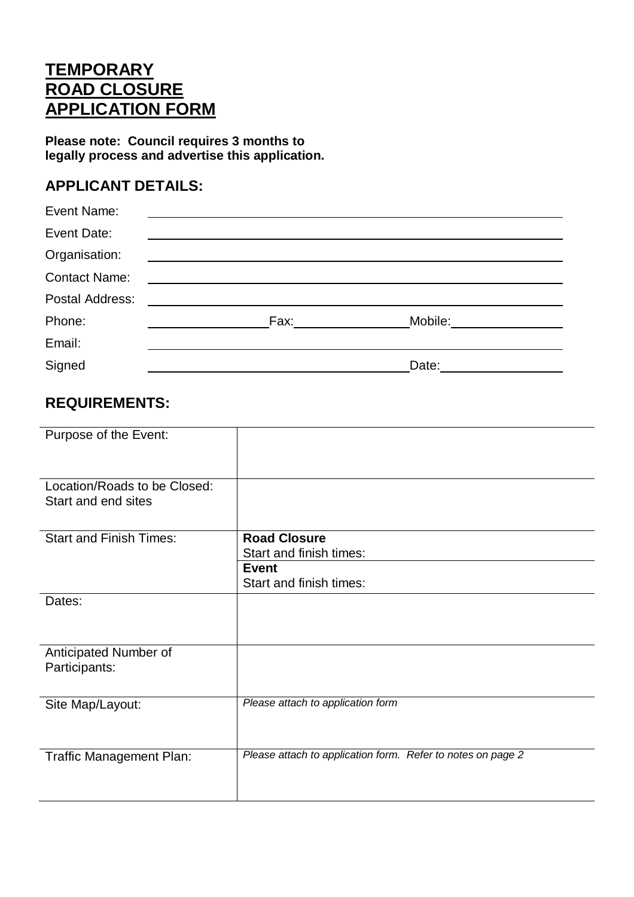# **TEMPORARY ROAD CLOSURE APPLICATION FORM**

**Please note: Council requires 3 months to legally process and advertise this application.**

## **APPLICANT DETAILS:**

| Event Name:                                                                                                                    |                         |  |
|--------------------------------------------------------------------------------------------------------------------------------|-------------------------|--|
| Event Date:                                                                                                                    |                         |  |
| Organisation:                                                                                                                  |                         |  |
| <b>Contact Name:</b>                                                                                                           |                         |  |
| Postal Address:                                                                                                                |                         |  |
| Phone:<br><u> 1980 - Jan Barbara Barbara, prima populație de la programa de la programa de la programa de la programa de l</u> | Mobile:________________ |  |
| Email:                                                                                                                         |                         |  |
| Signed                                                                                                                         |                         |  |

## **REQUIREMENTS:**

| Purpose of the Event:                               |                                                                                           |
|-----------------------------------------------------|-------------------------------------------------------------------------------------------|
| Location/Roads to be Closed:<br>Start and end sites |                                                                                           |
| <b>Start and Finish Times:</b>                      | <b>Road Closure</b><br>Start and finish times:<br><b>Event</b><br>Start and finish times: |
| Dates:                                              |                                                                                           |
| Anticipated Number of<br>Participants:              |                                                                                           |
| Site Map/Layout:                                    | Please attach to application form                                                         |
| Traffic Management Plan:                            | Please attach to application form. Refer to notes on page 2                               |